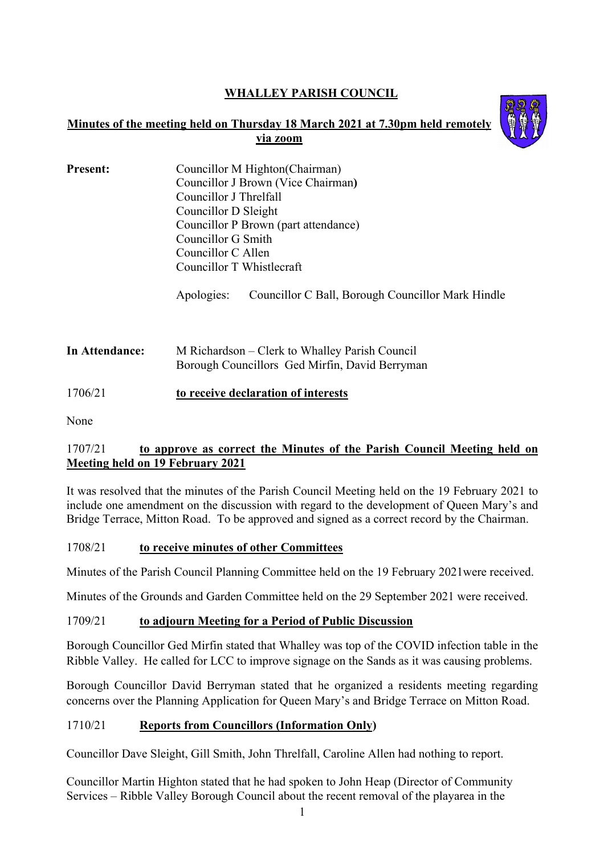# **WHALLEY PARISH COUNCIL**

### **Minutes of the meeting held on Thursday 18 March 2021 at 7.30pm held remotely via zoom**



| <b>Present:</b> | Councillor M Highton (Chairman)<br>Councillor J Brown (Vice Chairman) |  |  |
|-----------------|-----------------------------------------------------------------------|--|--|
|                 | Councillor J Threlfall                                                |  |  |
|                 | Councillor D Sleight                                                  |  |  |
|                 | Councillor P Brown (part attendance)                                  |  |  |
|                 | Councillor G Smith                                                    |  |  |
|                 | Councillor C Allen                                                    |  |  |
|                 | Councillor T Whistlecraft                                             |  |  |

Apologies: Councillor C Ball, Borough Councillor Mark Hindle

**In Attendance:** M Richardson – Clerk to Whalley Parish Council Borough Councillors Ged Mirfin, David Berryman

# 1706/21 **to receive declaration of interests**

None

# 1707/21 **to approve as correct the Minutes of the Parish Council Meeting held on Meeting held on 19 February 2021**

It was resolved that the minutes of the Parish Council Meeting held on the 19 February 2021 to include one amendment on the discussion with regard to the development of Queen Mary's and Bridge Terrace, Mitton Road. To be approved and signed as a correct record by the Chairman.

### 1708/21 **to receive minutes of other Committees**

Minutes of the Parish Council Planning Committee held on the 19 February 2021were received.

Minutes of the Grounds and Garden Committee held on the 29 September 2021 were received.

### 1709/21 **to adjourn Meeting for a Period of Public Discussion**

Borough Councillor Ged Mirfin stated that Whalley was top of the COVID infection table in the Ribble Valley. He called for LCC to improve signage on the Sands as it was causing problems.

Borough Councillor David Berryman stated that he organized a residents meeting regarding concerns over the Planning Application for Queen Mary's and Bridge Terrace on Mitton Road.

### 1710/21 **Reports from Councillors (Information Only)**

Councillor Dave Sleight, Gill Smith, John Threlfall, Caroline Allen had nothing to report.

Councillor Martin Highton stated that he had spoken to John Heap (Director of Community Services – Ribble Valley Borough Council about the recent removal of the playarea in the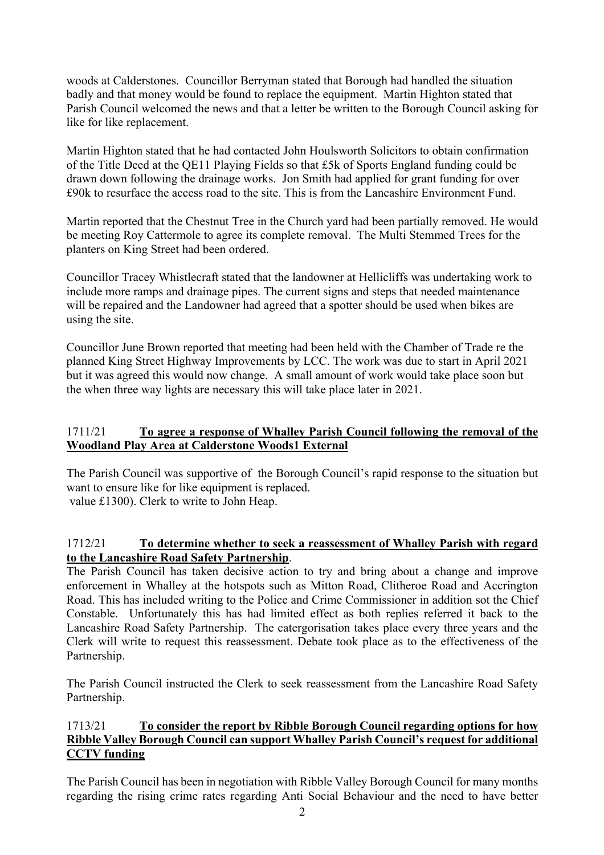woods at Calderstones. Councillor Berryman stated that Borough had handled the situation badly and that money would be found to replace the equipment. Martin Highton stated that Parish Council welcomed the news and that a letter be written to the Borough Council asking for like for like replacement.

Martin Highton stated that he had contacted John Houlsworth Solicitors to obtain confirmation of the Title Deed at the QE11 Playing Fields so that £5k of Sports England funding could be drawn down following the drainage works. Jon Smith had applied for grant funding for over £90k to resurface the access road to the site. This is from the Lancashire Environment Fund.

Martin reported that the Chestnut Tree in the Church yard had been partially removed. He would be meeting Roy Cattermole to agree its complete removal. The Multi Stemmed Trees for the planters on King Street had been ordered.

Councillor Tracey Whistlecraft stated that the landowner at Hellicliffs was undertaking work to include more ramps and drainage pipes. The current signs and steps that needed maintenance will be repaired and the Landowner had agreed that a spotter should be used when bikes are using the site.

Councillor June Brown reported that meeting had been held with the Chamber of Trade re the planned King Street Highway Improvements by LCC. The work was due to start in April 2021 but it was agreed this would now change. A small amount of work would take place soon but the when three way lights are necessary this will take place later in 2021.

### 1711/21 **To agree a response of Whalley Parish Council following the removal of the Woodland Play Area at Calderstone Woods1 External**

The Parish Council was supportive of the Borough Council's rapid response to the situation but want to ensure like for like equipment is replaced. value £1300). Clerk to write to John Heap.

### 1712/21 **To determine whether to seek a reassessment of Whalley Parish with regard to the Lancashire Road Safety Partnership**.

The Parish Council has taken decisive action to try and bring about a change and improve enforcement in Whalley at the hotspots such as Mitton Road, Clitheroe Road and Accrington Road. This has included writing to the Police and Crime Commissioner in addition sot the Chief Constable. Unfortunately this has had limited effect as both replies referred it back to the Lancashire Road Safety Partnership. The catergorisation takes place every three years and the Clerk will write to request this reassessment. Debate took place as to the effectiveness of the Partnership.

The Parish Council instructed the Clerk to seek reassessment from the Lancashire Road Safety Partnership.

# 1713/21 **To consider the report by Ribble Borough Council regarding options for how Ribble Valley Borough Council can support Whalley Parish Council's request for additional CCTV funding**

The Parish Council has been in negotiation with Ribble Valley Borough Council for many months regarding the rising crime rates regarding Anti Social Behaviour and the need to have better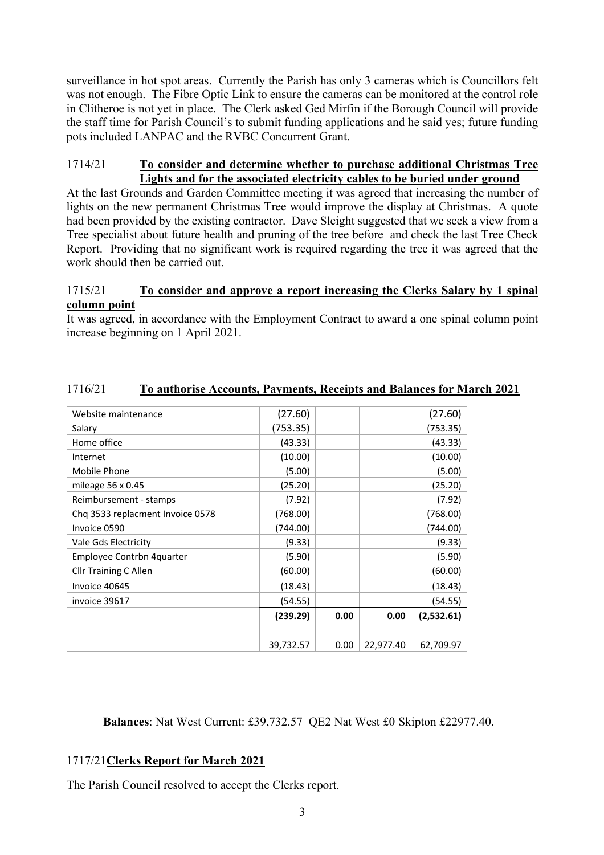surveillance in hot spot areas. Currently the Parish has only 3 cameras which is Councillors felt was not enough. The Fibre Optic Link to ensure the cameras can be monitored at the control role in Clitheroe is not yet in place. The Clerk asked Ged Mirfin if the Borough Council will provide the staff time for Parish Council's to submit funding applications and he said yes; future funding pots included LANPAC and the RVBC Concurrent Grant.

#### 1714/21 **To consider and determine whether to purchase additional Christmas Tree Lights and for the associated electricity cables to be buried under ground**

At the last Grounds and Garden Committee meeting it was agreed that increasing the number of lights on the new permanent Christmas Tree would improve the display at Christmas. A quote had been provided by the existing contractor. Dave Sleight suggested that we seek a view from a Tree specialist about future health and pruning of the tree before and check the last Tree Check Report. Providing that no significant work is required regarding the tree it was agreed that the work should then be carried out.

### 1715/21 **To consider and approve a report increasing the Clerks Salary by 1 spinal column point**

It was agreed, in accordance with the Employment Contract to award a one spinal column point increase beginning on 1 April 2021.

| Website maintenance              | (27.60)   |      |           | (27.60)    |
|----------------------------------|-----------|------|-----------|------------|
| Salary                           | (753.35)  |      |           | (753.35)   |
| Home office                      | (43.33)   |      |           | (43.33)    |
| Internet                         | (10.00)   |      |           | (10.00)    |
| Mobile Phone                     | (5.00)    |      |           | (5.00)     |
| mileage $56 \times 0.45$         | (25.20)   |      |           | (25.20)    |
| Reimbursement - stamps           | (7.92)    |      |           | (7.92)     |
| Chq 3533 replacment Invoice 0578 | (768.00)  |      |           | (768.00)   |
| Invoice 0590                     | (744.00)  |      |           | (744.00)   |
| Vale Gds Electricity             | (9.33)    |      |           | (9.33)     |
| Employee Contrbn 4quarter        | (5.90)    |      |           | (5.90)     |
| <b>Cllr Training C Allen</b>     | (60.00)   |      |           | (60.00)    |
| Invoice 40645                    | (18.43)   |      |           | (18.43)    |
| invoice 39617                    | (54.55)   |      |           | (54.55)    |
|                                  | (239.29)  | 0.00 | 0.00      | (2,532.61) |
|                                  |           |      |           |            |
|                                  | 39,732.57 | 0.00 | 22,977.40 | 62,709.97  |

# 1716/21 **To authorise Accounts, Payments, Receipts and Balances for March 2021**

**Balances**: Nat West Current: £39,732.57 QE2 Nat West £0 Skipton £22977.40.

### 1717/21**Clerks Report for March 2021**

The Parish Council resolved to accept the Clerks report.